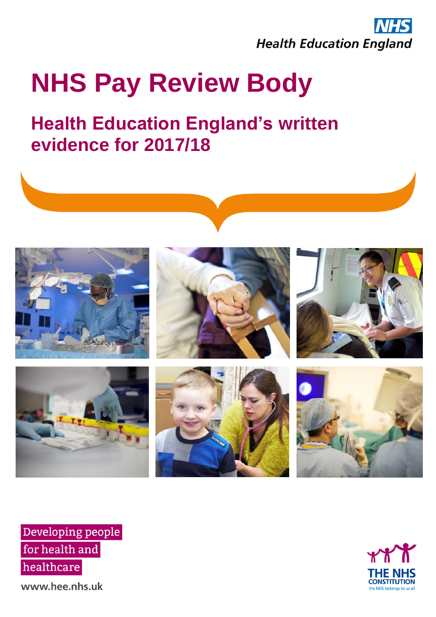

# **NHS Pay Review Body**

# **Health Education England's written evidence for 2017/18**



Developing people for health and healthcare

**CONSTITUTION ne NHS belongs to** 

www.hee.nhs.uk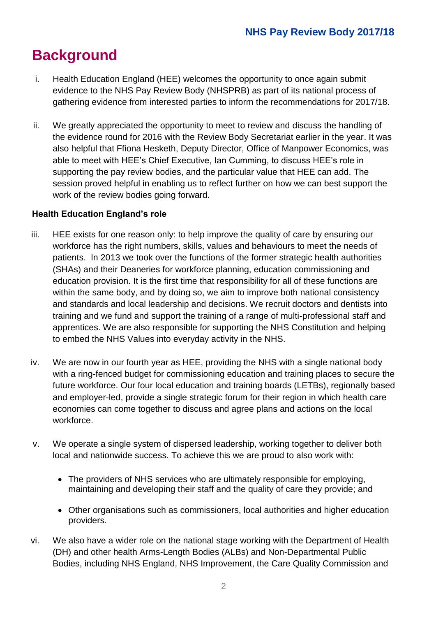# **Background**

- i. Health Education England (HEE) welcomes the opportunity to once again submit evidence to the NHS Pay Review Body (NHSPRB) as part of its national process of gathering evidence from interested parties to inform the recommendations for 2017/18.
- ii. We greatly appreciated the opportunity to meet to review and discuss the handling of the evidence round for 2016 with the Review Body Secretariat earlier in the year. It was also helpful that Ffiona Hesketh, Deputy Director, Office of Manpower Economics, was able to meet with HEE's Chief Executive, Ian Cumming, to discuss HEE's role in supporting the pay review bodies, and the particular value that HEE can add. The session proved helpful in enabling us to reflect further on how we can best support the work of the review bodies going forward.

#### **Health Education England's role**

- iii. HEE exists for one reason only: to help improve the quality of care by ensuring our workforce has the right numbers, skills, values and behaviours to meet the needs of patients. In 2013 we took over the functions of the former strategic health authorities (SHAs) and their Deaneries for workforce planning, education commissioning and education provision. It is the first time that responsibility for all of these functions are within the same body, and by doing so, we aim to improve both national consistency and standards and local leadership and decisions. We recruit doctors and dentists into training and we fund and support the training of a range of multi-professional staff and apprentices. We are also responsible for supporting the NHS Constitution and helping to embed the NHS Values into everyday activity in the NHS.
- iv. We are now in our fourth year as HEE, providing the NHS with a single national body with a ring-fenced budget for commissioning education and training places to secure the future workforce. Our four local education and training boards (LETBs), regionally based and employer-led, provide a single strategic forum for their region in which health care economies can come together to discuss and agree plans and actions on the local workforce.
- v. We operate a single system of dispersed leadership, working together to deliver both local and nationwide success. To achieve this we are proud to also work with:
	- The providers of NHS services who are ultimately responsible for employing, maintaining and developing their staff and the quality of care they provide; and
	- Other organisations such as commissioners, local authorities and higher education providers.
- vi. We also have a wider role on the national stage working with the Department of Health (DH) and other health Arms-Length Bodies (ALBs) and Non-Departmental Public Bodies, including NHS England, NHS Improvement, the Care Quality Commission and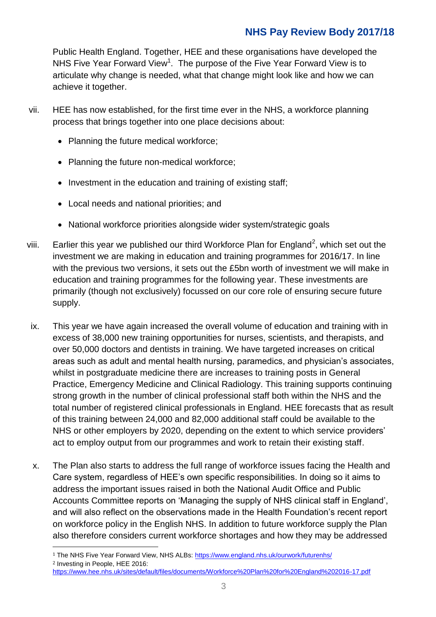# **NHS Pay Review Body 2017/18**

Public Health England. Together, HEE and these organisations have developed the NHS Five Year Forward View<sup>1</sup>. The purpose of the Five Year Forward View is to articulate why change is needed, what that change might look like and how we can achieve it together.

- vii. HEE has now established, for the first time ever in the NHS, a workforce planning process that brings together into one place decisions about:
	- Planning the future medical workforce;
	- Planning the future non-medical workforce;
	- Investment in the education and training of existing staff:
	- Local needs and national priorities; and

1

- National workforce priorities alongside wider system/strategic goals
- viii. Earlier this year we published our third Workforce Plan for England<sup>2</sup>, which set out the investment we are making in education and training programmes for 2016/17. In line with the previous two versions, it sets out the £5bn worth of investment we will make in education and training programmes for the following year. These investments are primarily (though not exclusively) focussed on our core role of ensuring secure future supply.
- ix. This year we have again increased the overall volume of education and training with in excess of 38,000 new training opportunities for nurses, scientists, and therapists, and over 50,000 doctors and dentists in training. We have targeted increases on critical areas such as adult and mental health nursing, paramedics, and physician's associates, whilst in postgraduate medicine there are increases to training posts in General Practice, Emergency Medicine and Clinical Radiology. This training supports continuing strong growth in the number of clinical professional staff both within the NHS and the total number of registered clinical professionals in England. HEE forecasts that as result of this training between 24,000 and 82,000 additional staff could be available to the NHS or other employers by 2020, depending on the extent to which service providers' act to employ output from our programmes and work to retain their existing staff.
- x. The Plan also starts to address the full range of workforce issues facing the Health and Care system, regardless of HEE's own specific responsibilities. In doing so it aims to address the important issues raised in both the National Audit Office and Public Accounts Committee reports on 'Managing the supply of NHS clinical staff in England', and will also reflect on the observations made in the Health Foundation's recent report on workforce policy in the English NHS. In addition to future workforce supply the Plan also therefore considers current workforce shortages and how they may be addressed

<sup>1</sup> The NHS Five Year Forward View, NHS ALBs:<https://www.england.nhs.uk/ourwork/futurenhs/> <sup>2</sup> Investing in People, HEE 2016:

<https://www.hee.nhs.uk/sites/default/files/documents/Workforce%20Plan%20for%20England%202016-17.pdf>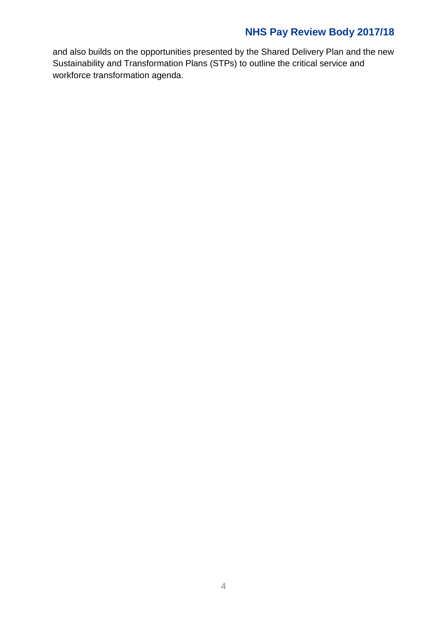# **NHS Pay Review Body 2017/18**

and also builds on the opportunities presented by the Shared Delivery Plan and the new Sustainability and Transformation Plans (STPs) to outline the critical service and workforce transformation agenda.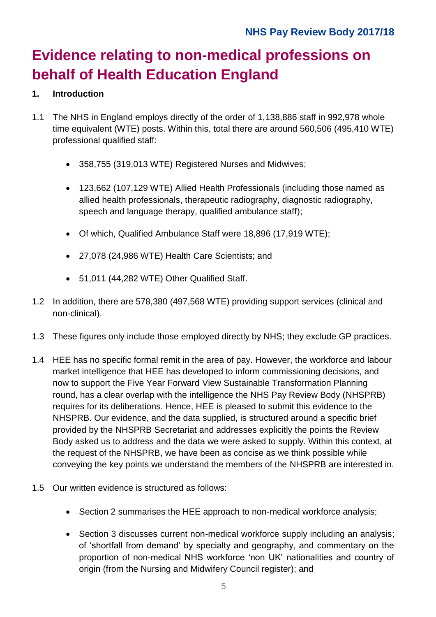# **Evidence relating to non-medical professions on behalf of Health Education England**

## **1. Introduction**

- 1.1 The NHS in England employs directly of the order of 1,138,886 staff in 992,978 whole time equivalent (WTE) posts. Within this, total there are around 560,506 (495,410 WTE) professional qualified staff:
	- 358,755 (319,013 WTE) Registered Nurses and Midwives;
	- 123,662 (107,129 WTE) Allied Health Professionals (including those named as allied health professionals, therapeutic radiography, diagnostic radiography, speech and language therapy, qualified ambulance staff);
	- Of which, Qualified Ambulance Staff were 18,896 (17,919 WTE);
	- 27,078 (24,986 WTE) Health Care Scientists; and
	- 51,011 (44,282 WTE) Other Qualified Staff.
- 1.2 In addition, there are 578,380 (497,568 WTE) providing support services (clinical and non-clinical).
- 1.3 These figures only include those employed directly by NHS; they exclude GP practices.
- 1.4 HEE has no specific formal remit in the area of pay. However, the workforce and labour market intelligence that HEE has developed to inform commissioning decisions, and now to support the Five Year Forward View Sustainable Transformation Planning round, has a clear overlap with the intelligence the NHS Pay Review Body (NHSPRB) requires for its deliberations. Hence, HEE is pleased to submit this evidence to the NHSPRB. Our evidence, and the data supplied, is structured around a specific brief provided by the NHSPRB Secretariat and addresses explicitly the points the Review Body asked us to address and the data we were asked to supply. Within this context, at the request of the NHSPRB, we have been as concise as we think possible while conveying the key points we understand the members of the NHSPRB are interested in.
- 1.5 Our written evidence is structured as follows:
	- Section 2 summarises the HEE approach to non-medical workforce analysis;
	- Section 3 discusses current non-medical workforce supply including an analysis: of 'shortfall from demand' by specialty and geography, and commentary on the proportion of non-medical NHS workforce 'non UK' nationalities and country of origin (from the Nursing and Midwifery Council register); and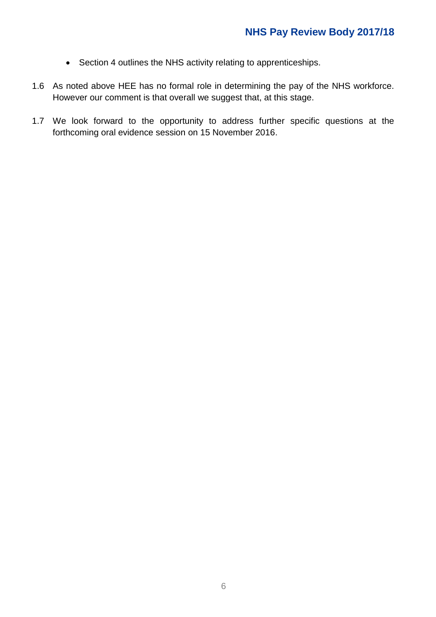- Section 4 outlines the NHS activity relating to apprenticeships.
- 1.6 As noted above HEE has no formal role in determining the pay of the NHS workforce. However our comment is that overall we suggest that, at this stage.
- 1.7 We look forward to the opportunity to address further specific questions at the forthcoming oral evidence session on 15 November 2016.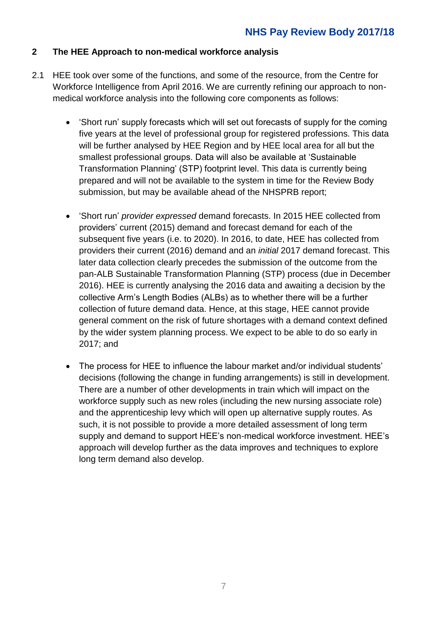#### **2 The HEE Approach to non-medical workforce analysis**

- 2.1 HEE took over some of the functions, and some of the resource, from the Centre for Workforce Intelligence from April 2016. We are currently refining our approach to nonmedical workforce analysis into the following core components as follows:
	- 'Short run' supply forecasts which will set out forecasts of supply for the coming five years at the level of professional group for registered professions. This data will be further analysed by HEE Region and by HEE local area for all but the smallest professional groups. Data will also be available at 'Sustainable Transformation Planning' (STP) footprint level. This data is currently being prepared and will not be available to the system in time for the Review Body submission, but may be available ahead of the NHSPRB report;
	- 'Short run' *provider expressed* demand forecasts. In 2015 HEE collected from providers' current (2015) demand and forecast demand for each of the subsequent five years (i.e. to 2020). In 2016, to date, HEE has collected from providers their current (2016) demand and an *initial* 2017 demand forecast. This later data collection clearly precedes the submission of the outcome from the pan-ALB Sustainable Transformation Planning (STP) process (due in December 2016). HEE is currently analysing the 2016 data and awaiting a decision by the collective Arm's Length Bodies (ALBs) as to whether there will be a further collection of future demand data. Hence, at this stage, HEE cannot provide general comment on the risk of future shortages with a demand context defined by the wider system planning process. We expect to be able to do so early in 2017; and
	- The process for HEE to influence the labour market and/or individual students' decisions (following the change in funding arrangements) is still in development. There are a number of other developments in train which will impact on the workforce supply such as new roles (including the new nursing associate role) and the apprenticeship levy which will open up alternative supply routes. As such, it is not possible to provide a more detailed assessment of long term supply and demand to support HEE's non-medical workforce investment. HEE's approach will develop further as the data improves and techniques to explore long term demand also develop.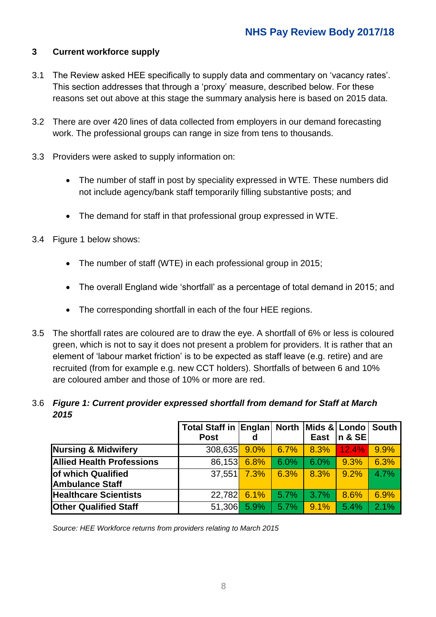### **3 Current workforce supply**

- 3.1 The Review asked HEE specifically to supply data and commentary on 'vacancy rates'. This section addresses that through a 'proxy' measure, described below. For these reasons set out above at this stage the summary analysis here is based on 2015 data.
- 3.2 There are over 420 lines of data collected from employers in our demand forecasting work. The professional groups can range in size from tens to thousands.
- 3.3 Providers were asked to supply information on:
	- The number of staff in post by speciality expressed in WTE. These numbers did not include agency/bank staff temporarily filling substantive posts; and
	- The demand for staff in that professional group expressed in WTE.
- 3.4 Figure 1 below shows:
	- The number of staff (WTE) in each professional group in 2015;
	- The overall England wide 'shortfall' as a percentage of total demand in 2015; and
	- The corresponding shortfall in each of the four HEE regions.
- 3.5 The shortfall rates are coloured are to draw the eye. A shortfall of 6% or less is coloured green, which is not to say it does not present a problem for providers. It is rather that an element of 'labour market friction' is to be expected as staff leave (e.g. retire) and are recruited (from for example e.g. new CCT holders). Shortfalls of between 6 and 10% are coloured amber and those of 10% or more are red.

#### 3.6 *Figure 1: Current provider expressed shortfall from demand for Staff at March 2015*

|                                  | Total Staff in Englan North |      |      |      | Mids & Londo South |      |
|----------------------------------|-----------------------------|------|------|------|--------------------|------|
|                                  | <b>Post</b>                 | d    |      | East | $ n \& SE $        |      |
| <b>Nursing &amp; Midwifery</b>   | 308,635 9.0%                |      | 6.7% | 8.3% | 12.4%              | 9.9% |
| <b>Allied Health Professions</b> | 86,153 6.8%                 |      | 6.0% | 6.0% | 9.3%               | 6.3% |
| of which Qualified               | 37,551                      | 7.3% | 6.3% | 8.3% | 9.2%               | 4.7% |
| <b>Ambulance Staff</b>           |                             |      |      |      |                    |      |
| <b>Healthcare Scientists</b>     | $22,782$ 6.1%               |      | 5.7% | 3.7% | 8.6%               | 6.9% |
| <b>Other Qualified Staff</b>     | 51,306 5.9%                 |      | 5.7% | 9.1% | 5.4%               | 2.1% |

*Source: HEE Workforce returns from providers relating to March 2015*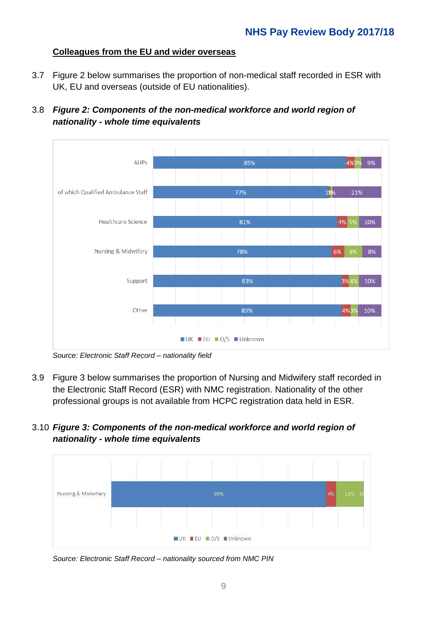#### **Colleagues from the EU and wider overseas**

- 3.7 Figure 2 below summarises the proportion of non-medical staff recorded in ESR with UK, EU and overseas (outside of EU nationalities).
- 3.8 *Figure 2: Components of the non-medical workforce and world region of nationality - whole time equivalents*



*Source: Electronic Staff Record – nationality field*

- 3.9 Figure 3 below summarises the proportion of Nursing and Midwifery staff recorded in the Electronic Staff Record (ESR) with NMC registration. Nationality of the other professional groups is not available from HCPC registration data held in ESR.
- 3.10 *Figure 3: Components of the non-medical workforce and world region of nationality - whole time equivalents*



*Source: Electronic Staff Record – nationality sourced from NMC PIN*